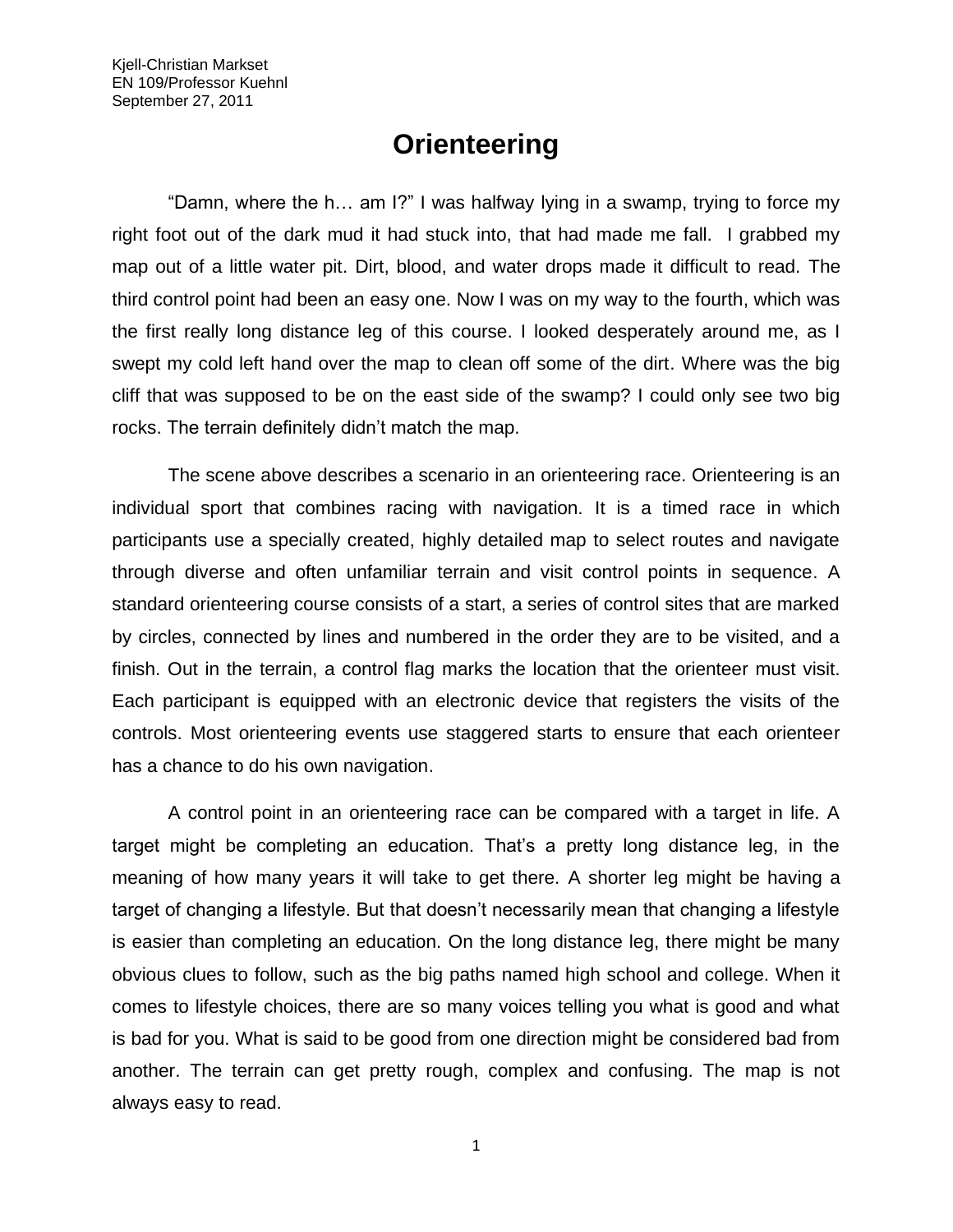## **Orienteering**

"Damn, where the h… am I?" I was halfway lying in a swamp, trying to force my right foot out of the dark mud it had stuck into, that had made me fall. I grabbed my map out of a little water pit. Dirt, blood, and water drops made it difficult to read. The third control point had been an easy one. Now I was on my way to the fourth, which was the first really long distance leg of this course. I looked desperately around me, as I swept my cold left hand over the map to clean off some of the dirt. Where was the big cliff that was supposed to be on the east side of the swamp? I could only see two big rocks. The terrain definitely didn't match the map.

The scene above describes a scenario in an orienteering race. Orienteering is an individual sport that combines racing with navigation. It is a timed race in which participants use a specially created, highly detailed map to select routes and navigate through diverse and often unfamiliar terrain and visit control points in sequence. A standard orienteering course consists of a start, a series of control sites that are marked by circles, connected by lines and numbered in the order they are to be visited, and a finish. Out in the terrain, a control flag marks the location that the orienteer must visit. Each participant is equipped with an electronic device that registers the visits of the controls. Most orienteering events use staggered starts to ensure that each orienteer has a chance to do his own navigation.

A control point in an orienteering race can be compared with a target in life. A target might be completing an education. That's a pretty long distance leg, in the meaning of how many years it will take to get there. A shorter leg might be having a target of changing a lifestyle. But that doesn't necessarily mean that changing a lifestyle is easier than completing an education. On the long distance leg, there might be many obvious clues to follow, such as the big paths named high school and college. When it comes to lifestyle choices, there are so many voices telling you what is good and what is bad for you. What is said to be good from one direction might be considered bad from another. The terrain can get pretty rough, complex and confusing. The map is not always easy to read.

1